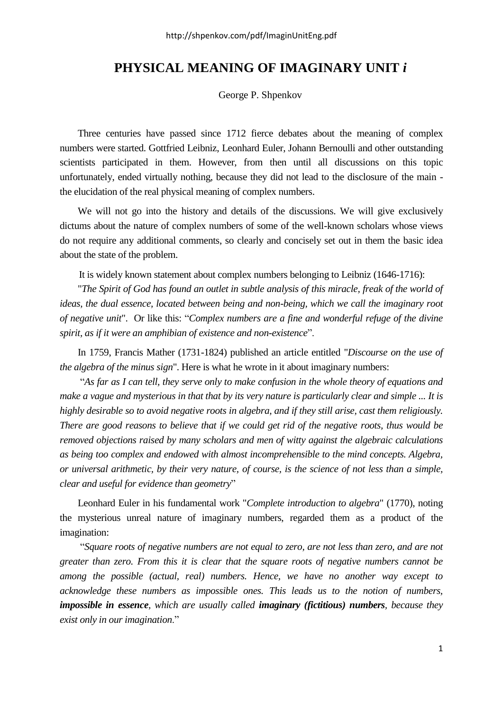## **PHYSICAL MEANING OF IMAGINARY UNIT** *i*

George P. Shpenkov

Three centuries have passed since 1712 fierce debates about the meaning of complex numbers were started. Gottfried Leibniz, Leonhard Euler, Johann Bernoulli and other outstanding scientists participated in them. However, from then until all discussions on this topic unfortunately, ended virtually nothing, because they did not lead to the disclosure of the main the elucidation of the real physical meaning of complex numbers.

We will not go into the history and details of the discussions. We will give exclusively dictums about the nature of complex numbers of some of the well-known scholars whose views do not require any additional comments, so clearly and concisely set out in them the basic idea about the state of the problem.

It is widely known statement about complex numbers belonging to Leibniz (1646-1716):

"*The Spirit of God has found an outlet in subtle analysis of this miracle, freak of the world of ideas, the dual essence, located between being and non-being, which we call the imaginary root of negative unit*". Or like this: "*Complex numbers are a fine and wonderful refuge of the divine spirit, as if it were an amphibian of existence and non-existence*".

In 1759, Francis Mather (1731-1824) published an article entitled "*Discourse on the use of the algebra of the minus sign*". Here is what he wrote in it about imaginary numbers:

"*As far as I can tell, they serve only to make confusion in the whole theory of equations and make a vague and mysterious in that that by its very nature is particularly clear and simple ... It is highly desirable so to avoid negative roots in algebra, and if they still arise, cast them religiously. There are good reasons to believe that if we could get rid of the negative roots, thus would be removed objections raised by many scholars and men of witty against the algebraic calculations as being too complex and endowed with almost incomprehensible to the mind concepts. Algebra, or universal arithmetic, by their very nature, of course, is the science of not less than a simple, clear and useful for evidence than geometry*"

Leonhard Euler in his fundamental work "*Complete introduction to algebra*" (1770), noting the mysterious unreal nature of imaginary numbers, regarded them as a product of the imagination:

"*Square roots of negative numbers are not equal to zero, are not less than zero, and are not greater than zero. From this it is clear that the square roots of negative numbers cannot be among the possible (actual, real) numbers. Hence, we have no another way except to acknowledge these numbers as impossible ones. This leads us to the notion of numbers, impossible in essence, which are usually called imaginary (fictitious) numbers, because they exist only in our imagination*."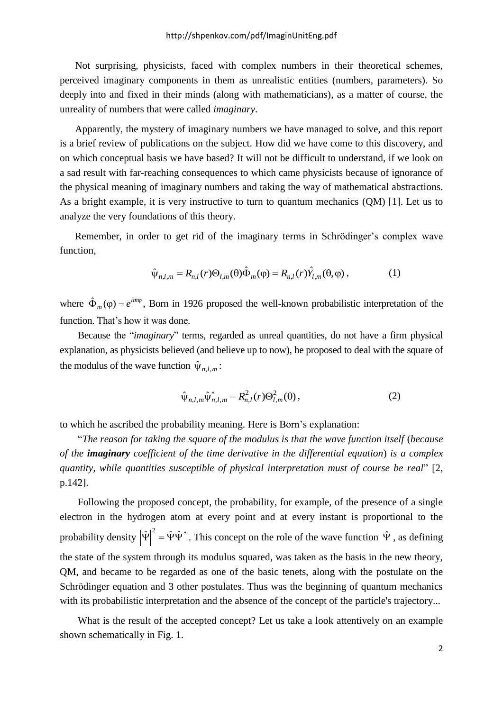Not surprising, physicists, faced with complex numbers in their theoretical schemes, perceived imaginary components in them as unrealistic entities (numbers, parameters). So deeply into and fixed in their minds (along with mathematicians), as a matter of course, the unreality of numbers that were called *imaginary*.

Apparently, the mystery of imaginary numbers we have managed to solve, and this report is a brief review of publications on the subject. How did we have come to this discovery, and on which conceptual basis we have based? It will not be difficult to understand, if we look on a sad result with far-reaching consequences to which came physicists because of ignorance of the physical meaning of imaginary numbers and taking the way of mathematical abstractions. As a bright example, it is very instructive to turn to quantum mechanics (QM) [1]. Let us to analyze the very foundations of this theory.

Remember, in order to get rid of the imaginary terms in Schrödinger's complex wave function,

$$
\hat{\psi}_{n,l,m} = R_{n,l}(r)\Theta_{l,m}(\theta)\hat{\Phi}_m(\phi) = R_{n,l}(r)\hat{Y}_{l,m}(\theta,\phi) ,\qquad (1)
$$

where  $\hat{\Phi}_m(\varphi) = e^{im\varphi}$  $\hat{\Phi}_m(\varphi) = e^{im\varphi}$ , Born in 1926 proposed the well-known probabilistic interpretation of the function. That's how it was done.

Because the "*imaginary*" terms, regarded as unreal quantities, do not have a firm physical explanation, as physicists believed (and believe up to now), he proposed to deal with the square of the modulus of the wave function  $\hat{\psi}_{n,l,m}$ :

$$
\hat{\psi}_{n,l,m} \hat{\psi}_{n,l,m}^* = R_{n,l}^2(r) \Theta_{l,m}^2(\theta), \qquad (2)
$$

to which he ascribed the probability meaning. Here is Born's explanation:

"*The reason for taking the square of the modulus is that the wave function itself* (*because of the imaginary coefficient of the time derivative in the differential equation*) *is a complex quantity, while quantities susceptible of physical interpretation must of course be real*" [2, p.142].

Following the proposed concept, the probability, for example, of the presence of a single electron in the hydrogen atom at every point and at every instant is proportional to the probability density  $|\hat{\Psi}|^2 = \hat{\Psi}\hat{\Psi}^*$ . This concept on the role of the wave function  $\hat{\Psi}$ , as defining the state of the system through its modulus squared, was taken as the basis in the new theory, QM, and became to be regarded as one of the basic tenets, along with the postulate on the Schrödinger equation and 3 other postulates. Thus was the beginning of quantum mechanics with its probabilistic interpretation and the absence of the concept of the particle's trajectory...

What is the result of the accepted concept? Let us take a look attentively on an example shown schematically in Fig. 1.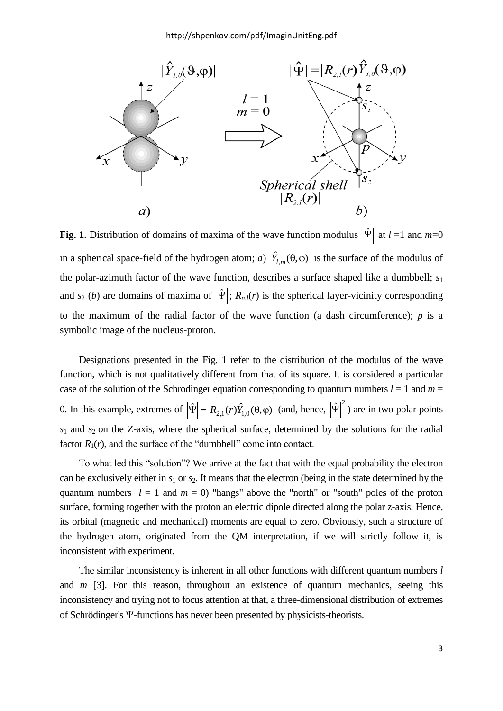

**Fig. 1**. Distribution of domains of maxima of the wave function modulus  $|\hat{\Psi}|$  at  $l = 1$  and  $m=0$ in a spherical space-field of the hydrogen atom; *a*)  $|\hat{Y}_{l,m}(\theta,\varphi)|$  is the surface of the modulus of the polar-azimuth factor of the wave function, describes a surface shaped like a dumbbell; *s*<sup>1</sup> and  $s_2$  (*b*) are domains of maxima of  $|\hat{\Psi}|$ ;  $R_{n,l}(r)$  is the spherical layer-vicinity corresponding to the maximum of the radial factor of the wave function (a dash circumference);  $p$  is a symbolic image of the nucleus-proton.

Designations presented in the Fig. 1 refer to the distribution of the modulus of the wave function, which is not qualitatively different from that of its square. It is considered a particular case of the solution of the Schrodinger equation corresponding to quantum numbers  $l = 1$  and  $m =$ 0. In this example, extremes of  $|\hat{\Psi}| = |R_{2,1}(r)\hat{Y}_{1,0}(\theta,\phi)|$  (and, hence,  $|\hat{\Psi}|^2$ ) are in two polar points  $s_1$  and  $s_2$  on the Z-axis, where the spherical surface, determined by the solutions for the radial factor  $R_1(r)$ , and the surface of the "dumbbell" come into contact.

To what led this "solution"? We arrive at the fact that with the equal probability the electron can be exclusively either in  $s_1$  or  $s_2$ . It means that the electron (being in the state determined by the quantum numbers  $l = 1$  and  $m = 0$ ) "hangs" above the "north" or "south" poles of the proton surface, forming together with the proton an electric dipole directed along the polar z-axis. Hence, its orbital (magnetic and mechanical) moments are equal to zero. Obviously, such a structure of the hydrogen atom, originated from the QM interpretation, if we will strictly follow it, is inconsistent with experiment.

The similar inconsistency is inherent in all other functions with different quantum numbers *l* and *m* [3]. For this reason, throughout an existence of quantum mechanics, seeing this inconsistency and trying not to focus attention at that, a three-dimensional distribution of extremes of Schrödinger's  $\Psi$ -functions has never been presented by physicists-theorists.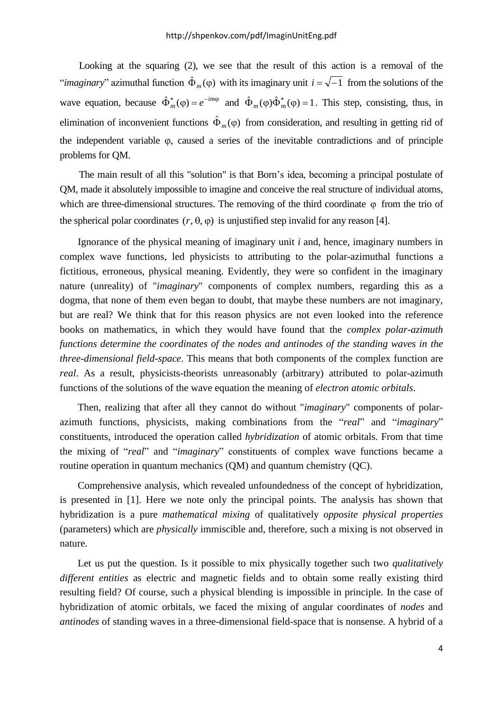Looking at the squaring (2), we see that the result of this action is a removal of the "*imaginary*" azimuthal function  $\hat{\Phi}_m(\varphi)$  with its imaginary unit  $i = \sqrt{-1}$  from the solutions of the wave equation, because  $\hat{\Phi}_m^*(\varphi) = e^{-im\varphi}$  $\hat{\Phi}_m^*(\varphi) = e^{-im\varphi}$  and  $\hat{\Phi}_m(\varphi)\hat{\Phi}_m^*(\varphi) = 1$  $m(\varphi)\hat{\Phi}_m^*(\varphi) = 1$ . This step, consisting, thus, in elimination of inconvenient functions  $\hat{\Phi}_m(\varphi)$  from consideration, and resulting in getting rid of the independent variable  $\varphi$ , caused a series of the inevitable contradictions and of principle problems for QM.

The main result of all this "solution" is that Born's idea, becoming a principal postulate of QM, made it absolutely impossible to imagine and conceive the real structure of individual atoms, which are three-dimensional structures. The removing of the third coordinate  $\varphi$  from the trio of the spherical polar coordinates  $(r, \theta, \varphi)$  is unjustified step invalid for any reason [4].

Ignorance of the physical meaning of imaginary unit *i* and, hence, imaginary numbers in complex wave functions, led physicists to attributing to the polar-azimuthal functions a fictitious, erroneous, physical meaning. Evidently, they were so confident in the imaginary nature (unreality) of "*imaginary*" components of complex numbers, regarding this as a dogma, that none of them even began to doubt, that maybe these numbers are not imaginary, but are real? We think that for this reason physics are not even looked into the reference books on mathematics, in which they would have found that the *complex polar-azimuth functions determine the coordinates of the nodes and antinodes of the standing waves in the three-dimensional field-space*. This means that both components of the complex function are *real*. As a result, physicists-theorists unreasonably (arbitrary) attributed to polar-azimuth functions of the solutions of the wave equation the meaning of *electron atomic orbitals*.

Then, realizing that after all they cannot do without "*imaginary*" components of polarazimuth functions, physicists, making combinations from the "*real*" and "*imaginary*" constituents, introduced the operation called *hybridization* of atomic orbitals. From that time the mixing of "*real*" and "*imaginary*" constituents of complex wave functions became a routine operation in quantum mechanics (QM) and quantum chemistry (QC).

Comprehensive analysis, which revealed unfoundedness of the concept of hybridization, is presented in [1]. Here we note only the principal points. The analysis has shown that hybridization is a pure *mathematical mixing* of qualitatively *opposite physical properties* (parameters) which are *physically* immiscible and, therefore, such a mixing is not observed in nature.

Let us put the question. Is it possible to mix physically together such two *qualitatively different entities* as electric and magnetic fields and to obtain some really existing third resulting field? Of course, such a physical blending is impossible in principle. In the case of hybridization of atomic orbitals, we faced the mixing of angular coordinates of *nodes* and *antinodes* of standing waves in a three-dimensional field-space that is nonsense. A hybrid of a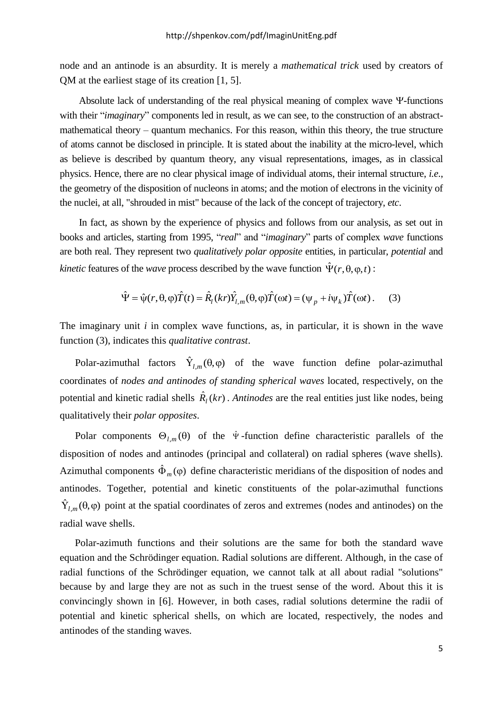node and an antinode is an absurdity. It is merely a *mathematical trick* used by creators of QM at the earliest stage of its creation [1, 5].

Absolute lack of understanding of the real physical meaning of complex wave  $\Psi$ -functions with their "*imaginary*" components led in result, as we can see, to the construction of an abstractmathematical theory – quantum mechanics. For this reason, within this theory, the true structure of atoms cannot be disclosed in principle. It is stated about the inability at the micro-level, which as believe is described by quantum theory, any visual representations, images, as in classical physics. Hence, there are no clear physical image of individual atoms, their internal structure, *i.e*., the geometry of the disposition of nucleons in atoms; and the motion of electrons in the vicinity of the nuclei, at all, "shrouded in mist" because of the lack of the concept of trajectory, *etc*.

In fact, as shown by the experience of physics and follows from our analysis, as set out in books and articles, starting from 1995, "*real*" and "*imaginary*" parts of complex *wave* functions are both real. They represent two *qualitatively polar opposite* entities, in particular, *potential* and *kinetic* features of the *wave* process described by the wave function  $\hat{\Psi}(r, \theta, \varphi, t)$ :<br>  $\hat{\Psi} = \hat{\psi}(r, \theta, \varphi)\hat{T}(t) = \hat{R}_l(kr)\hat{Y}_{l,m}(\theta, \varphi)\hat{T}(\omega t) = (\psi_p + i\psi_k)\hat{T}(\omega t)$ . (3)

$$
\hat{\Psi} = \hat{\psi}(r, \theta, \varphi)\hat{T}(t) = \hat{R}_l(kr)\hat{Y}_{l,m}(\theta, \varphi)\hat{T}(\omega t) = (\psi_p + i\psi_k)\hat{T}(\omega t).
$$
 (3)

The imaginary unit *i* in complex wave functions, as, in particular, it is shown in the wave function (3), indicates this *qualitative contrast*.

Polar-azimuthal factors  $\hat{Y}_{l,m}(\theta,\varphi)$  of the wave function define polar-azimuthal coordinates of *nodes and antinodes of standing spherical waves* located, respectively, on the potential and kinetic radial shells  $\hat{R}_l(kr)$ . *Antinodes* are the real entities just like nodes, being qualitatively their *polar opposites*.

Polar components  $\Theta_{l,m}(\theta)$  of the  $\hat{\Psi}$ -function define characteristic parallels of the disposition of nodes and antinodes (principal and collateral) on radial spheres (wave shells). Azimuthal components  $\hat{\Phi}_m(\varphi)$  define characteristic meridians of the disposition of nodes and antinodes. Together, potential and kinetic constituents of the polar-azimuthal functions  $\hat{Y}_{l,m}(\theta,\varphi)$  point at the spatial coordinates of zeros and extremes (nodes and antinodes) on the radial wave shells.

Polar-azimuth functions and their solutions are the same for both the standard wave equation and the Schrödinger equation. Radial solutions are different. Although, in the case of radial functions of the Schrödinger equation, we cannot talk at all about radial "solutions" because by and large they are not as such in the truest sense of the word. About this it is convincingly shown in [6]. However, in both cases, radial solutions determine the radii of potential and kinetic spherical shells, on which are located, respectively, the nodes and antinodes of the standing waves.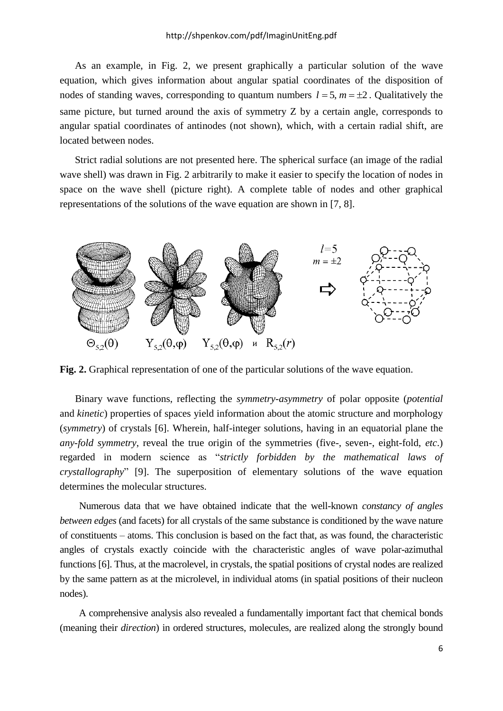As an example, in Fig. 2, we present graphically a particular solution of the wave equation, which gives information about angular spatial coordinates of the disposition of nodes of standing waves, corresponding to quantum numbers  $l = 5$ ,  $m = \pm 2$ . Qualitatively the same picture, but turned around the axis of symmetry Z by a certain angle, corresponds to angular spatial coordinates of antinodes (not shown), which, with a certain radial shift, are located between nodes.

Strict radial solutions are not presented here. The spherical surface (an image of the radial wave shell) was drawn in Fig. 2 arbitrarily to make it easier to specify the location of nodes in space on the wave shell (picture right). A complete table of nodes and other graphical representations of the solutions of the wave equation are shown in [7, 8].



Fig. 2. Graphical representation of one of the particular solutions of the wave equation.

Binary wave functions, reflecting the *symmetry-asymmetry* of polar opposite (*potential* and *kinetic*) properties of spaces yield information about the atomic structure and morphology (*symmetry*) of crystals [6]. Wherein, half-integer solutions, having in an equatorial plane the *any-fold symmetry*, reveal the true origin of the symmetries (five-, seven-, eight-fold, *etc*.) regarded in modern science as "*strictly forbidden by the mathematical laws of crystallography*" [9]. The superposition of elementary solutions of the wave equation determines the molecular structures.

Numerous data that we have obtained indicate that the well-known *constancy of angles between edges* (and facets) for all crystals of the same substance is conditioned by the wave nature of constituents – atoms. This conclusion is based on the fact that, as was found, the characteristic angles of crystals exactly coincide with the characteristic angles of wave polar-azimuthal functions [6]. Thus, at the macrolevel, in crystals, the spatial positions of crystal nodes are realized by the same pattern as at the microlevel, in individual atoms (in spatial positions of their nucleon nodes).

A comprehensive analysis also revealed a fundamentally important fact that chemical bonds (meaning their *direction*) in ordered structures, molecules, are realized along the strongly bound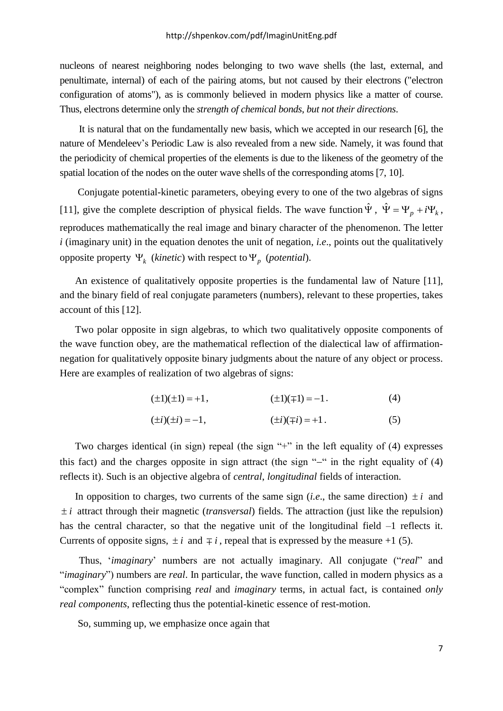nucleons of nearest neighboring nodes belonging to two wave shells (the last, external, and penultimate, internal) of each of the pairing atoms, but not caused by their electrons ("electron configuration of atoms"), as is commonly believed in modern physics like a matter of course. Thus, electrons determine only the *strength of chemical bonds*, *but not their directions*.

It is natural that on the fundamentally new basis, which we accepted in our research [6], the nature of Mendeleev's Periodic Law is also revealed from a new side. Namely, it was found that the periodicity of chemical properties of the elements is due to the likeness of the geometry of the spatial location of the nodes on the outer wave shells of the corresponding atoms [7, 10].

Conjugate potential-kinetic parameters, obeying every to one of the two algebras of signs [11], give the complete description of physical fields. The wave function  $\hat{\Psi}$ ,  $\hat{\Psi} = \Psi_p + i\Psi_k$ , reproduces mathematically the real image and binary character of the phenomenon. The letter *i* (imaginary unit) in the equation denotes the unit of negation, *i.e*., points out the qualitatively opposite property  $\Psi_k$  (*kinetic*) with respect to  $\Psi_p$  (*potential*).

An existence of qualitatively opposite properties is the fundamental law of Nature [11], and the binary field of real conjugate parameters (numbers), relevant to these properties, takes account of this [12].

Two polar opposite in sign algebras, to which two qualitatively opposite components of the wave function obey, are the mathematical reflection of the dialectical law of affirmationnegation for qualitatively opposite binary judgments about the nature of any object or process. Here are examples of realization of two algebras of signs:

$$
(\pm 1)(\pm 1) = +1, \qquad (\pm 1)(\mp 1) = -1. \tag{4}
$$

$$
(\pm i)(\pm i) = -1, \qquad (\pm i)(\mp i) = +1. \tag{5}
$$

Two charges identical (in sign) repeal (the sign "+" in the left equality of  $(4)$  expresses this fact) and the charges opposite in sign attract (the sign " $-$ " in the right equality of (4) reflects it). Such is an objective algebra of *central*, *longitudinal* fields of interaction.

In opposition to charges, two currents of the same sign (*i.e.*, the same direction)  $\pm i$  and *i* attract through their magnetic (*transversal*) fields. The attraction (just like the repulsion) has the central character, so that the negative unit of the longitudinal field  $-1$  reflects it. Currents of opposite signs,  $\pm i$  and  $\mp i$ , repeal that is expressed by the measure +1 (5).

Thus, '*imaginary*' numbers are not actually imaginary. All conjugate ("*real*" and "*imaginary*") numbers are *real*. In particular, the wave function, called in modern physics as a "complex" function comprising *real* and *imaginary* terms, in actual fact, is contained *only real components*, reflecting thus the potential-kinetic essence of rest-motion.

So, summing up, we emphasize once again that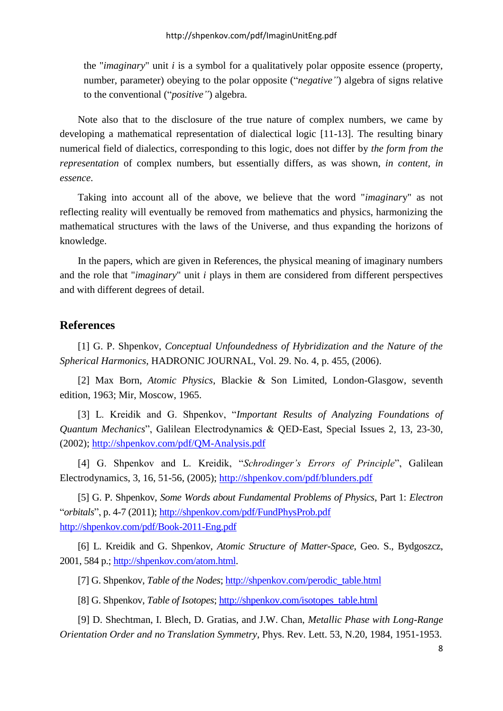the "*imaginary*" unit *i* is a symbol for a qualitatively polar opposite essence (property, number, parameter) obeying to the polar opposite ("*negative"*) algebra of signs relative to the conventional ("*positive"*) algebra.

Note also that to the disclosure of the true nature of complex numbers, we came by developing a mathematical representation of dialectical logic [11-13]. The resulting binary numerical field of dialectics, corresponding to this logic, does not differ by *the form from the representation* of complex numbers, but essentially differs, as was shown, *in content, in essence*.

Taking into account all of the above, we believe that the word "*imaginar*y" as not reflecting reality will eventually be removed from mathematics and physics, harmonizing the mathematical structures with the laws of the Universe, and thus expanding the horizons of knowledge.

In the papers, which are given in References, the physical meaning of imaginary numbers and the role that "*imaginary*" unit *i* plays in them are considered from different perspectives and with different degrees of detail.

## **References**

[1] G. P. Shpenkov, *Conceptual Unfoundedness of Hybridization and the Nature of the Spherical Harmonics*, HADRONIC JOURNAL, Vol. 29. No. 4, p. 455, (2006).

[2] Max Born, *Atomic Physics*, Blackie & Son Limited, London-Glasgow, seventh edition, 1963; Mir, Moscow, 1965.

[3] L. Kreidik and G. Shpenkov, "*Important Results of Analyzing Foundations of Quantum Mechanics*", Galilean Electrodynamics & QED-East, Special Issues 2, 13, 23-30, (2002);<http://shpenkov.com/pdf/QM-Analysis.pdf>

[4] G. Shpenkov and L. Kreidik, "*Schrodinger's Errors of Principle*", Galilean Electrodynamics, 3, 16, 51-56, (2005);<http://shpenkov.com/pdf/blunders.pdf>

[5] G. P. Shpenkov, *Some Words about Fundamental Problems of Physics*, Part 1: *Electron* "*orbitals*", p. 4-7 (2011);<http://shpenkov.com/pdf/FundPhysProb.pdf> <http://shpenkov.com/pdf/Book-2011-Eng.pdf>

[6] L. Kreidik and G. Shpenkov, *Atomic Structure of Matter-Space*, Geo. S., Bydgoszcz, 2001, 584 p.; [http://shpenkov.com/atom.html.](http://shpenkov.com/atom.html)

[7] G. Shpenkov, *Table of the Nodes*; [http://shpenkov.com/perodic\\_table.html](http://shpenkov.com/perodic_table.html)

[8] G. Shpenkov, *Table of Isotopes*; [http://shpenkov.com/isotopes\\_table.html](http://shpenkov.com/isotopes_table.html)

[9] D. Shechtman, I. Blech, D. Gratias, and J.W. Chan, *Metallic Phase with Long-Range Orientation Order and no Translation Symmetry*, Phys. Rev. Lett. 53, N.20, 1984, 1951-1953.